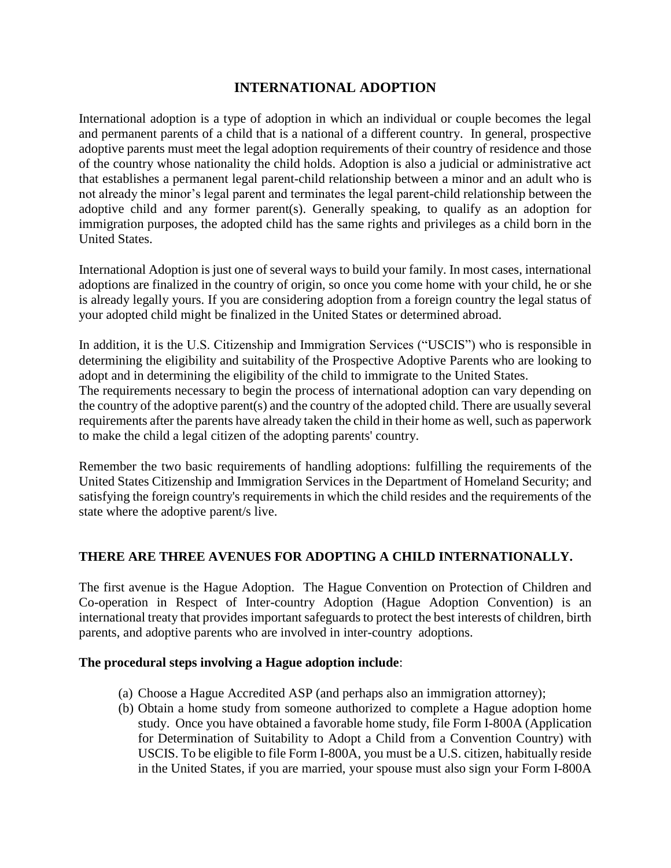## **INTERNATIONAL ADOPTION**

International adoption is a type of adoption in which an individual or couple becomes the legal and permanent parents of a child that is a national of a different country. In general, prospective adoptive parents must meet the legal adoption requirements of their country of residence and those of the country whose nationality the child holds. Adoption is also a judicial or administrative act that establishes a permanent legal parent-child relationship between a minor and an adult who is not already the minor's legal parent and terminates the legal parent-child relationship between the adoptive child and any former parent(s). Generally speaking, to qualify as an adoption for immigration purposes, the adopted child has the same rights and privileges as a child born in the United States.

International Adoption is just one of several ways to build your family. In most cases, international adoptions are finalized in the country of origin, so once you come home with your child, he or she is already legally yours. If you are considering adoption from a foreign country the legal status of your adopted child might be finalized in the United States or determined abroad.

In addition, it is the U.S. Citizenship and Immigration Services ("USCIS") who is responsible in determining the eligibility and suitability of the Prospective Adoptive Parents who are looking to adopt and in determining the eligibility of the child to immigrate to the United States.

The requirements necessary to begin the process of international adoption can vary depending on the country of the adoptive parent(s) and the country of the adopted child. There are usually several requirements after the parents have already taken the child in their home as well, such as paperwork to make the child a legal citizen of the adopting parents' country.

Remember the two basic requirements of handling adoptions: fulfilling the requirements of the United States Citizenship and Immigration Services in the Department of Homeland Security; and satisfying the foreign country's requirements in which the child resides and the requirements of the state where the adoptive parent/s live.

## **THERE ARE THREE AVENUES FOR ADOPTING A CHILD INTERNATIONALLY.**

The first avenue is the Hague Adoption. The Hague Convention on Protection of Children and Co-operation in Respect of Inter-country Adoption (Hague Adoption Convention) is an international treaty that provides important safeguards to protect the best interests of children, birth parents, and adoptive parents who are involved in inter-country adoptions.

## **The procedural steps involving a Hague adoption include**:

- (a) Choose a Hague Accredited ASP (and perhaps also an immigration attorney);
- (b) Obtain a home study from someone authorized to complete a Hague adoption home study. Once you have obtained a favorable home study, file Form I-800A (Application for Determination of Suitability to Adopt a Child from a Convention Country) with USCIS. To be eligible to file Form I-800A, you must be a U.S. citizen, habitually reside in the United States, if you are married, your spouse must also sign your Form I-800A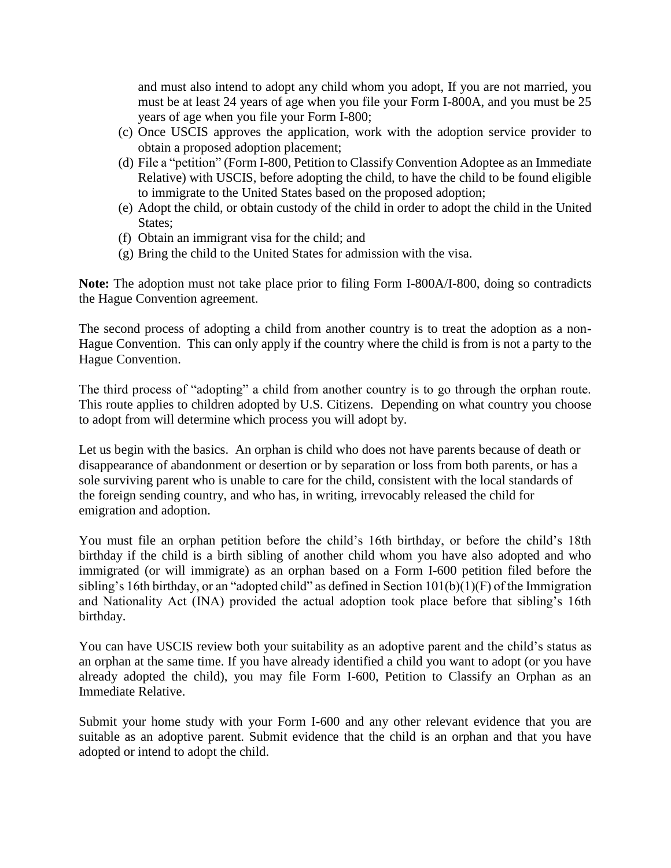and must also intend to adopt any child whom you adopt, If you are not married, you must be at least 24 years of age when you file your Form I-800A, and you must be 25 years of age when you file your Form I-800;

- (c) Once USCIS approves the application, work with the adoption service provider to obtain a proposed adoption placement;
- (d) File a "petition" (Form I-800, Petition to Classify Convention Adoptee as an Immediate Relative) with USCIS, before adopting the child, to have the child to be found eligible to immigrate to the United States based on the proposed adoption;
- (e) Adopt the child, or obtain custody of the child in order to adopt the child in the United States;
- (f) Obtain an immigrant visa for the child; and
- (g) Bring the child to the United States for admission with the visa.

**Note:** The adoption must not take place prior to filing Form I-800A/I-800, doing so contradicts the Hague Convention agreement.

The second process of adopting a child from another country is to treat the adoption as a non-Hague Convention. This can only apply if the country where the child is from is not a party to the Hague Convention.

The third process of "adopting" a child from another country is to go through the orphan route. This route applies to children adopted by U.S. Citizens. Depending on what country you choose to adopt from will determine which process you will adopt by.

Let us begin with the basics. An orphan is child who does not have parents because of death or disappearance of abandonment or desertion or by separation or loss from both parents, or has a sole surviving parent who is unable to care for the child, consistent with the local standards of the foreign sending country, and who has, in writing, irrevocably released the child for emigration and adoption.

You must file an orphan petition before the child's 16th birthday, or before the child's 18th birthday if the child is a birth sibling of another child whom you have also adopted and who immigrated (or will immigrate) as an orphan based on a Form I-600 petition filed before the sibling's 16th birthday, or an "adopted child" as defined in Section 101(b)(1)(F) of the Immigration and Nationality Act (INA) provided the actual adoption took place before that sibling's 16th birthday.

You can have USCIS review both your suitability as an adoptive parent and the child's status as an orphan at the same time. If you have already identified a child you want to adopt (or you have already adopted the child), you may file Form I-600, Petition to Classify an Orphan as an Immediate Relative.

Submit your home study with your Form I-600 and any other relevant evidence that you are suitable as an adoptive parent. Submit evidence that the child is an orphan and that you have adopted or intend to adopt the child.